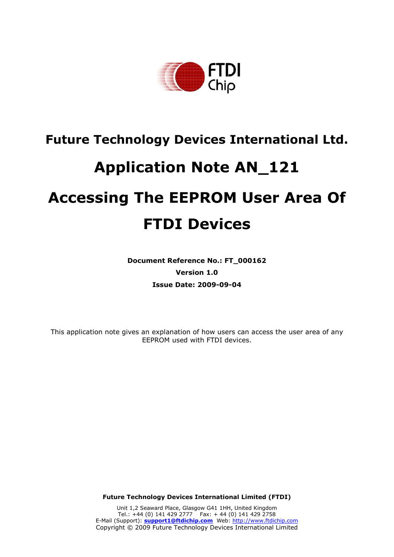

## **Future Technology Devices International Ltd.**

# **Application Note AN\_121**

# **Accessing The EEPROM User Area Of FTDI Devices**

**Document Reference No.: FT\_000162 Version 1.0 Issue Date: 2009-09-04**

This application note gives an explanation of how users can access the user area of any EEPROM used with FTDI devices.

**Future Technology Devices International Limited (FTDI)** 

Unit 1,2 Seaward Place, Glasgow G41 1HH, United Kingdom Tel.: +44 (0) 141 429 2777 Fax: + 44 (0) 141 429 2758 E-Mail (Support): **support1@ftdichip.com** Web: http://www.ftdichip.com Copyright © 2009 Future Technology Devices International Limited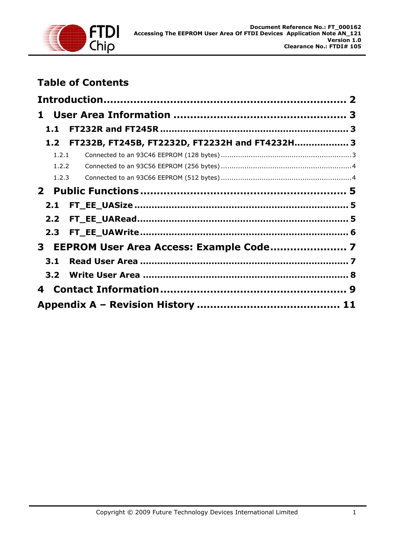

## **Table of Contents**

| 1.1              |                                                |  |
|------------------|------------------------------------------------|--|
| 1.2 <sub>1</sub> | FT232B, FT245B, FT2232D, FT2232H and FT4232H 3 |  |
| 1.2.1            |                                                |  |
| 1.2.2            |                                                |  |
| 1.2.3            |                                                |  |
|                  |                                                |  |
| 2.1              |                                                |  |
| 2.2 <sub>1</sub> |                                                |  |
| 2.3              |                                                |  |
|                  |                                                |  |
| 3.1              |                                                |  |
|                  |                                                |  |
| 4                |                                                |  |
|                  |                                                |  |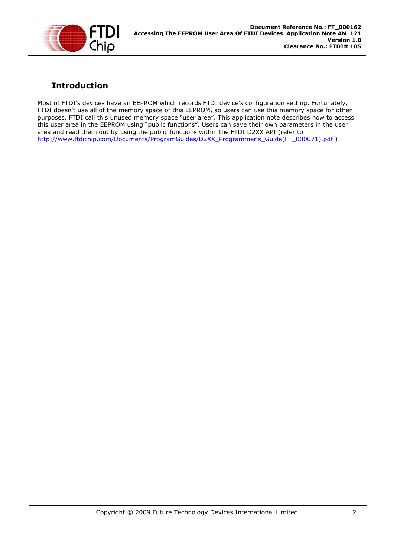

## **Introduction**

Most of FTDI's devices have an EEPROM which records FTDI device's configuration setting. Fortunately, FTDI doesn't use all of the memory space of this EEPROM, so users can use this memory space for other purposes. FTDI call this unused memory space "user area". This application note describes how to access this user area in the EEPROM using "public functions". Users can save their own parameters in the user area and read them out by using the public functions within the FTDI D2XX API (refer to http://www.ftdichip.com/Documents/ProgramGuides/D2XX\_Programmer's\_Guide(FT\_000071).pdf )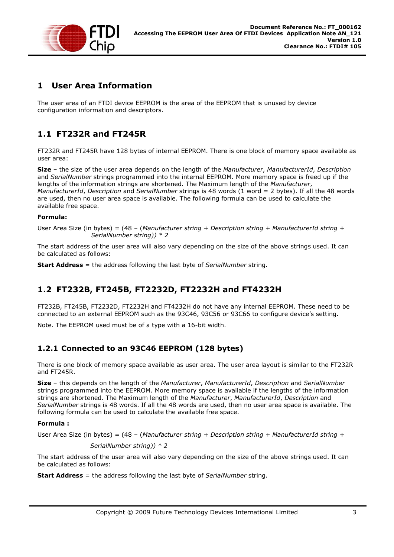

## **1 User Area Information**

The user area of an FTDI device EEPROM is the area of the EEPROM that is unused by device configuration information and descriptors.

## **1.1 FT232R and FT245R**

FT232R and FT245R have 128 bytes of internal EEPROM. There is one block of memory space available as user area:

**Size** – the size of the user area depends on the length of the *Manufacturer*, *ManufacturerId*, *Description*  and *SerialNumber* strings programmed into the internal EEPROM. More memory space is freed up if the lengths of the information strings are shortened. The Maximum length of the *Manufacturer*, *ManufacturerId*, *Description* and *SerialNumber* strings is 48 words (1 word = 2 bytes). If all the 48 words are used, then no user area space is available. The following formula can be used to calculate the available free space.

## **Formula:**

User Area Size (in bytes) = (48 – (*Manufacturer string + Description string + ManufacturerId string + SerialNumber string)) \* 2*

The start address of the user area will also vary depending on the size of the above strings used. It can be calculated as follows:

**Start Address** = the address following the last byte of *SerialNumber* string.

## **1.2 FT232B, FT245B, FT2232D, FT2232H and FT4232H**

FT232B, FT245B, FT2232D, FT2232H and FT4232H do not have any internal EEPROM. These need to be connected to an external EEPROM such as the 93C46, 93C56 or 93C66 to configure device's setting.

Note. The EEPROM used must be of a type with a 16-bit width.

## **1.2.1 Connected to an 93C46 EEPROM (128 bytes)**

There is one block of memory space available as user area. The user area layout is similar to the FT232R and FT245R.

**Size** – this depends on the length of the *Manufacturer*, *ManufacturerId*, *Description* and *SerialNumber*  strings programmed into the EEPROM. More memory space is available if the lengths of the information strings are shortened. The Maximum length of the *Manufacturer*, *ManufacturerId*, *Description* and *SerialNumber* strings is 48 words. If all the 48 words are used, then no user area space is available. The following formula can be used to calculate the available free space.

## **Formula :**

User Area Size (in bytes) = (48 – (*Manufacturer string + Description string + ManufacturerId string +* 

 *SerialNumber string)) \* 2*

The start address of the user area will also vary depending on the size of the above strings used. It can be calculated as follows:

**Start Address** = the address following the last byte of *SerialNumber* string.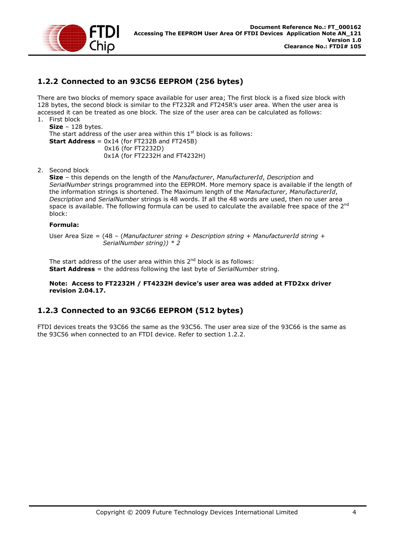

## **1.2.2 Connected to an 93C56 EEPROM (256 bytes)**

There are two blocks of memory space available for user area; The first block is a fixed size block with 128 bytes, the second block is similar to the FT232R and FT245R's user area. When the user area is accessed it can be treated as one block. The size of the user area can be calculated as follows: 1. First block

#### **Size** – 128 bytes. The start address of the user area within this  $1<sup>st</sup>$  block is as follows: **Start Address** = 0x14 (for FT232B and FT245B) 0x16 (for FT2232D) 0x1A (for FT2232H and FT4232H)

2. Second block

**Size** – this depends on the length of the *Manufacturer*, *ManufacturerId*, *Description* and *SerialNumber* strings programmed into the EEPROM. More memory space is available if the length of the information strings is shortened. The Maximum length of the *Manufacturer*, *ManufacturerId*, *Description* and *SerialNumber* strings is 48 words. If all the 48 words are used, then no user area space is available. The following formula can be used to calculate the available free space of the 2<sup>nd</sup> block:

#### **Formula:**

User Area Size = (48 – (*Manufacturer string + Description string + ManufacturerId string + SerialNumber string)) \* 2*

The start address of the user area within this  $2<sup>nd</sup>$  block is as follows: **Start Address** = the address following the last byte of *SerialNumber* string.

#### **Note: Access to FT2232H / FT4232H device's user area was added at FTD2xx driver revision 2.04.17.**

## **1.2.3 Connected to an 93C66 EEPROM (512 bytes)**

FTDI devices treats the 93C66 the same as the 93C56. The user area size of the 93C66 is the same as the 93C56 when connected to an FTDI device. Refer to section 1.2.2.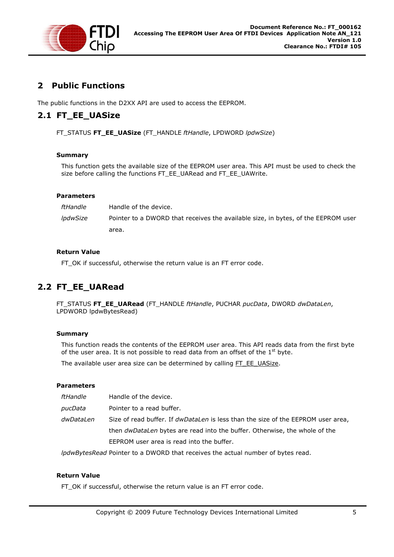

## **2 Public Functions**

The public functions in the D2XX API are used to access the EEPROM.

## **2.1 FT\_EE\_UASize**

FT\_STATUS **FT\_EE\_UASize** (FT\_HANDLE *ftHandle*, LPDWORD *lpdwSize*)

## **Summary**

This function gets the available size of the EEPROM user area. This API must be used to check the size before calling the functions FT\_EE\_UARead and FT\_EE\_UAWrite.

#### **Parameters**

*ftHandle* Handle of the device. *lpdwSize* Pointer to a DWORD that receives the available size, in bytes, of the EEPROM user area.

#### **Return Value**

FT\_OK if successful, otherwise the return value is an FT error code.

## **2.2 FT\_EE\_UARead**

FT\_STATUS **FT\_EE\_UARead** (FT\_HANDLE *ftHandle*, PUCHAR *pucData*, DWORD *dwDataLen*, LPDWORD lpdwBytesRead)

## **Summary**

This function reads the contents of the EEPROM user area. This API reads data from the first byte of the user area. It is not possible to read data from an offset of the  $1<sup>st</sup>$  byte.

The available user area size can be determined by calling FT\_EE\_UASize.

#### **Parameters**

| ftHandle  | Handle of the device.                                                                   |
|-----------|-----------------------------------------------------------------------------------------|
| pucData   | Pointer to a read buffer.                                                               |
| dwDataLen | Size of read buffer. If <i>dwDataLen</i> is less than the size of the EEPROM user area, |
|           | then <i>dwDataLen</i> bytes are read into the buffer. Otherwise, the whole of the       |
|           | EEPROM user area is read into the buffer.                                               |

*lpdwBytesRead* Pointer to a DWORD that receives the actual number of bytes read.

#### **Return Value**

FT OK if successful, otherwise the return value is an FT error code.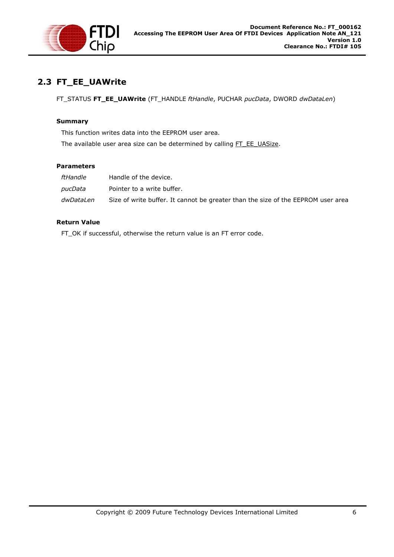

## **2.3 FT\_EE\_UAWrite**

FT\_STATUS **FT\_EE\_UAWrite** (FT\_HANDLE *ftHandle*, PUCHAR *pucData*, DWORD *dwDataLen*)

#### **Summary**

This function writes data into the EEPROM user area.

The available user area size can be determined by calling FT\_EE\_UASize.

#### **Parameters**

| ftHandle  | Handle of the device.                                                            |
|-----------|----------------------------------------------------------------------------------|
| pucData   | Pointer to a write buffer.                                                       |
| dwDataLen | Size of write buffer. It cannot be greater than the size of the EEPROM user area |

#### **Return Value**

FT\_OK if successful, otherwise the return value is an FT error code.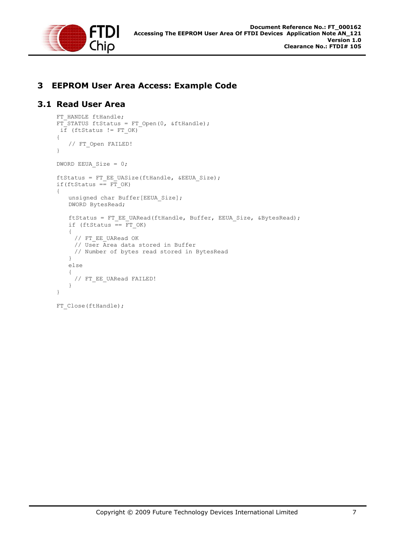

## **3 EEPROM User Area Access: Example Code**

## **3.1 Read User Area**

```
FT HANDLE ftHandle;
FT STATUS ftStatus = FT Open(0, &ftHandle);
i\bar{f} (ftStatus != FT OK)
{ 
   // FT_Open FAILED! 
} 
DWORD EEUA_Size = 0; 
ftStatus = FT_EE_UASize(ftHandle, &EEUA_Size); 
if(ftStatus == \overline{FT} OK)
{ 
   unsigned char Buffer[EEUA Size];
   DWORD BytesRead; 
   ftStatus = FT_EE_UARead(ftHandle, Buffer, EEUA Size, &BytesRead);
   if (ftStatus = \overline{F}T OK)
   { 
     // FT_EE_UARead OK
     // User Area data stored in Buffer 
     // Number of bytes read stored in BytesRead 
   } 
   else 
   { 
     // FT_EE_UARead FAILED!
    } 
} 
FT Close(ftHandle);
```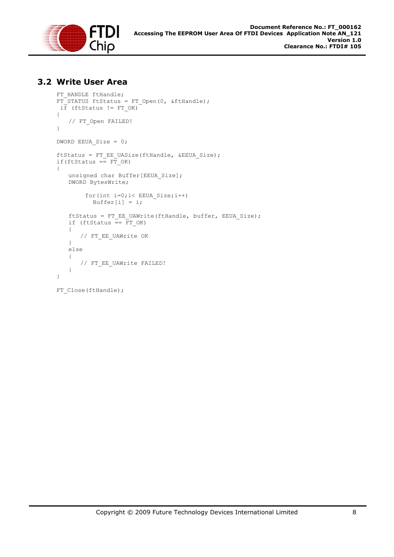

## **3.2 Write User Area**

```
FT HANDLE ftHandle;
FT_STATUS ftStatus = FT_Open(0, &ftHandle); 
i\bar{f} (ftStatus != FT OK)
{ 
   // FT Open FAILED!
} 
DWORD EEUA Size = 0;ftStatus = FT_EE_UASize(ftHandle, &EEUA_Size); 
if(ftStatus == F\overline{T} OK)
{ 
   unsigned char Buffer[EEUA Size];
   DWORD BytesWrite; 
         for(int i=0;i< EEUA_Size;i++) 
          Buffer[i] = i;ftStatus = FT_EE_UAWrite(ftHandle, buffer, EEUA_Size); 
   if (ftStatus == FT_OK) 
   { 
       // FT_EE_UAWrite OK 
   } 
   else 
   { 
       // FT_EE_UAWrite FAILED!
   } 
}
```

```
FT Close(ftHandle);
```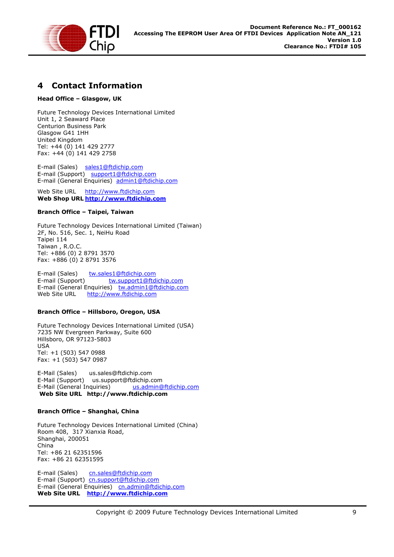

## **4 Contact Information**

#### **Head Office – Glasgow, UK**

Future Technology Devices International Limited Unit 1, 2 Seaward Place Centurion Business Park Glasgow G41 1HH United Kingdom Tel: +44 (0) 141 429 2777 Fax: +44 (0) 141 429 2758

E-mail (Sales) sales1@ftdichip.com E-mail (Support) support1@ftdichip.com E-mail (General Enquiries) admin1@ftdichip.com

Web Site URL http://www.ftdichip.com **Web Shop URL http://www.ftdichip.com**

#### **Branch Office – Taipei, Taiwan**

Future Technology Devices International Limited (Taiwan) 2F, No. 516, Sec. 1, NeiHu Road Taipei 114 Taiwan , R.O.C. Tel: +886 (0) 2 8791 3570 Fax: +886 (0) 2 8791 3576

E-mail (Sales) tw.sales1@ftdichip.com E-mail (Support) tw.support1@ftdichip.com E-mail (General Enquiries) tw.admin1@ftdichip.com<br>Web Site URL http://www.ftdichip.com http://www.ftdichip.com

#### **Branch Office – Hillsboro, Oregon, USA**

Future Technology Devices International Limited (USA) 7235 NW Evergreen Parkway, Suite 600 Hillsboro, OR 97123-5803 USA Tel: +1 (503) 547 0988 Fax: +1 (503) 547 0987

E-Mail (Sales) us.sales@ftdichip.com E-Mail (Support) us.support@ftdichip.com<br>E-Mail (General Inquiries) us.admin@ftdichip.com E-Mail (General Inquiries)  **Web Site URL http://www.ftdichip.com**

#### **Branch Office – Shanghai, China**

Future Technology Devices International Limited (China) Room 408, 317 Xianxia Road, Shanghai, 200051 China Tel: +86 21 62351596 Fax: +86 21 62351595

E-mail (Sales) cn.sales@ftdichip.com E-mail (Support)cn.support@ftdichip.com E-mail (General Enquiries) cn.admin@ftdichip.com **Web Site URL http://www.ftdichip.com**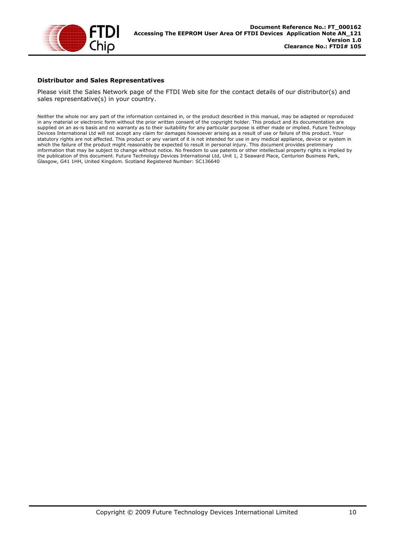

#### **Distributor and Sales Representatives**

Please visit the Sales Network page of the FTDI Web site for the contact details of our distributor(s) and sales representative(s) in your country.

Neither the whole nor any part of the information contained in, or the product described in this manual, may be adapted or reproduced in any material or electronic form without the prior written consent of the copyright holder. This product and its documentation are supplied on an as-is basis and no warranty as to their suitability for any particular purpose is either made or implied. Future Technology Devices International Ltd will not accept any claim for damages howsoever arising as a result of use or failure of this product. Your statutory rights are not affected. This product or any variant of it is not intended for use in any medical appliance, device or system in which the failure of the product might reasonably be expected to result in personal injury. This document provides preliminary information that may be subject to change without notice. No freedom to use patents or other intellectual property rights is implied by the publication of this document. Future Technology Devices International Ltd, Unit 1, 2 Seaward Place, Centurion Business Park, Glasgow, G41 1HH, United Kingdom. Scotland Registered Number: SC136640